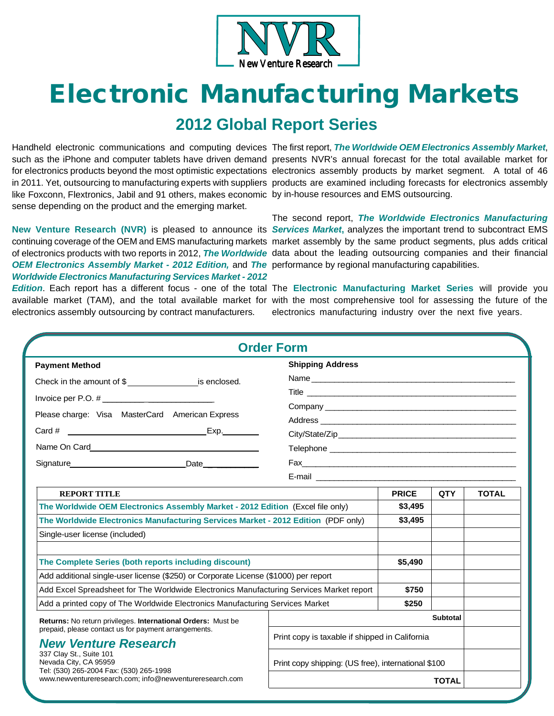

# **Electronic Manufacturing Markets**

## **2012 Global Report Series**

like Foxconn, Flextronics, Jabil and 91 others, makes economic by in-house resources and EMS outsourcing. sense depending on the product and the emerging market.

Handheld electronic communications and computing devices The first report, *The Worldwide OEM Electronics Assembly Market*, such as the iPhone and computer tablets have driven demand presents NVR's annual forecast for the total available market for for electronics products beyond the most optimistic expectations electronics assembly products by market segment. A total of 46 in 2011. Yet, outsourcing to manufacturing experts with suppliers products are examined including forecasts for electronics assembly

OEM Electronics Assembly Market - 2012 Edition, and The performance by regional manufacturing capabilities. *Worldwide Electronics Manufacturing Services Market - 2012* 

**New Venture Research (NVR)** is pleased to announce its *Services Market***,** analyzes the important trend to subcontract EMS continuing coverage of the OEM and EMS manufacturing markets market assembly by the same product segments, plus adds critical of electronics products with two reports in 2012, *The Worldwide*  data about the leading outsourcing companies and their financial The second report, *The Worldwide Electronics Manufacturing* 

electronics assembly outsourcing by contract manufacturers.

*Edition*. Each report has a different focus - one of the total The **Electronic Manufacturing Market Series** will provide you available market (TAM), and the total available market for with the most comprehensive tool for assessing the future of the electronics manufacturing industry over the next five years.

|                                                                                                                                                                                                                                                                                                                           | <b>Order Form</b>                                                                                                                                                                                                                                                                                                                                                                                                                                                                                                                                                                                             |                                                                     |            |              |
|---------------------------------------------------------------------------------------------------------------------------------------------------------------------------------------------------------------------------------------------------------------------------------------------------------------------------|---------------------------------------------------------------------------------------------------------------------------------------------------------------------------------------------------------------------------------------------------------------------------------------------------------------------------------------------------------------------------------------------------------------------------------------------------------------------------------------------------------------------------------------------------------------------------------------------------------------|---------------------------------------------------------------------|------------|--------------|
| <b>Payment Method</b><br>Check in the amount of \$<br>Please charge: Visa MasterCard American Express<br>Date <b>Date</b>                                                                                                                                                                                                 | <b>Shipping Address</b><br>Name and the contract of the contract of the contract of the contract of the contract of the contract of the contract of the contract of the contract of the contract of the contract of the contract of the contract of the c<br>Company experience and the company of the company of the company of the company of the company of the company of the company of the company of the company of the company of the company of the company of the company of the<br>Fax 2008 2008 2010 2021 2022 2023 2024 2022 2023 2024 2022 2023 2024 2022 2023 2024 2022 2023 2024 2022 2023 20 |                                                                     |            |              |
| <b>REPORT TITLE</b><br>The Worldwide OEM Electronics Assembly Market - 2012 Edition (Excel file only)<br>The Worldwide Electronics Manufacturing Services Market - 2012 Edition (PDF only)<br>Single-user license (included)                                                                                              |                                                                                                                                                                                                                                                                                                                                                                                                                                                                                                                                                                                                               | <b>PRICE</b><br>\$3,495<br>\$3,495                                  | <b>QTY</b> | <b>TOTAL</b> |
| The Complete Series (both reports including discount)<br>Add additional single-user license (\$250) or Corporate License (\$1000) per report<br>Add Excel Spreadsheet for The Worldwide Electronics Manufacturing Services Market report<br>Add a printed copy of The Worldwide Electronics Manufacturing Services Market |                                                                                                                                                                                                                                                                                                                                                                                                                                                                                                                                                                                                               | \$5,490<br>\$750<br>\$250                                           |            |              |
| Returns: No return privileges. International Orders: Must be<br>prepaid, please contact us for payment arrangements.<br><b>New Venture Research</b><br>337 Clay St., Suite 101                                                                                                                                            | Print copy is taxable if shipped in California                                                                                                                                                                                                                                                                                                                                                                                                                                                                                                                                                                | <b>Subtotal</b>                                                     |            |              |
| Nevada City, CA 95959<br>Tel: (530) 265-2004 Fax: (530) 265-1998<br>www.newventureresearch.com; info@newventureresearch.com                                                                                                                                                                                               |                                                                                                                                                                                                                                                                                                                                                                                                                                                                                                                                                                                                               | Print copy shipping: (US free), international \$100<br><b>TOTAL</b> |            |              |